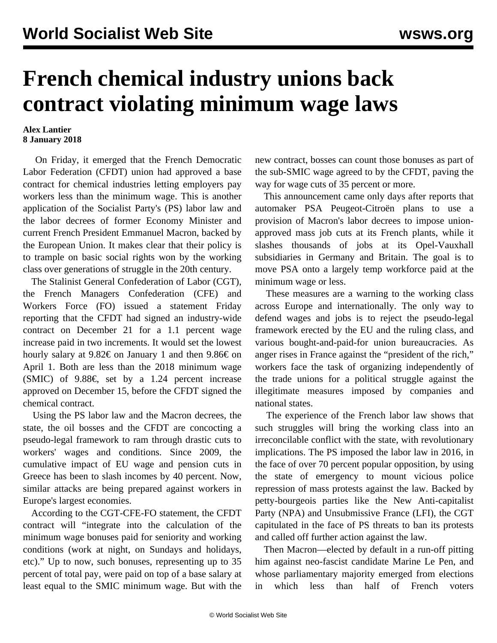## **French chemical industry unions back contract violating minimum wage laws**

## **Alex Lantier 8 January 2018**

 On Friday, it emerged that the French Democratic Labor Federation (CFDT) union had approved a base contract for chemical industries letting employers pay workers less than the minimum wage. This is another application of the Socialist Party's (PS) labor law and the labor decrees of former Economy Minister and current French President Emmanuel Macron, backed by the European Union. It makes clear that their policy is to trample on basic social rights won by the working class over generations of struggle in the 20th century.

 The Stalinist General Confederation of Labor (CGT), the French Managers Confederation (CFE) and Workers Force (FO) issued a statement Friday reporting that the CFDT had signed an industry-wide contract on December 21 for a 1.1 percent wage increase paid in two increments. It would set the lowest hourly salary at  $9.82 \in \mathfrak{S}$  on January 1 and then  $9.86 \in \mathfrak{S}$  on April 1. Both are less than the 2018 minimum wage (SMIC) of 9.88€, set by a 1.24 percent increase approved on December 15, before the CFDT signed the chemical contract.

 Using the PS labor law and the Macron decrees, the state, the oil bosses and the CFDT are concocting a pseudo-legal framework to ram through drastic cuts to workers' wages and conditions. Since 2009, the cumulative impact of EU wage and pension cuts in Greece has been to slash incomes by 40 percent. Now, similar attacks are being prepared against workers in Europe's largest economies.

 According to the CGT-CFE-FO statement, the CFDT contract will "integrate into the calculation of the minimum wage bonuses paid for seniority and working conditions (work at night, on Sundays and holidays, etc)." Up to now, such bonuses, representing up to 35 percent of total pay, were paid on top of a base salary at least equal to the SMIC minimum wage. But with the

new contract, bosses can count those bonuses as part of the sub-SMIC wage agreed to by the CFDT, paving the way for wage cuts of 35 percent or more.

 This announcement came only days after reports that automaker PSA Peugeot-Citroën plans to use a provision of Macron's labor decrees to impose unionapproved mass job cuts at its French plants, while it slashes thousands of jobs at its Opel-Vauxhall subsidiaries in Germany and Britain. The goal is to move PSA onto a largely temp workforce paid at the minimum wage or less.

 These measures are a warning to the working class across Europe and internationally. The only way to defend wages and jobs is to reject the pseudo-legal framework erected by the EU and the ruling class, and various bought-and-paid-for union bureaucracies. As anger rises in France against the "president of the rich," workers face the task of organizing independently of the trade unions for a political struggle against the illegitimate measures imposed by companies and national states.

 The experience of the French labor law shows that such struggles will bring the working class into an irreconcilable conflict with the state, with revolutionary implications. The PS imposed the labor law in 2016, in the face of over 70 percent popular opposition, by using the state of emergency to mount vicious police repression of mass protests against the law. Backed by petty-bourgeois parties like the New Anti-capitalist Party (NPA) and Unsubmissive France (LFI), the CGT capitulated in the face of PS threats to ban its protests and called off further action against the law.

 Then Macron—elected by default in a run-off pitting him against neo-fascist candidate Marine Le Pen, and whose parliamentary majority emerged from elections in which less than half of French voters